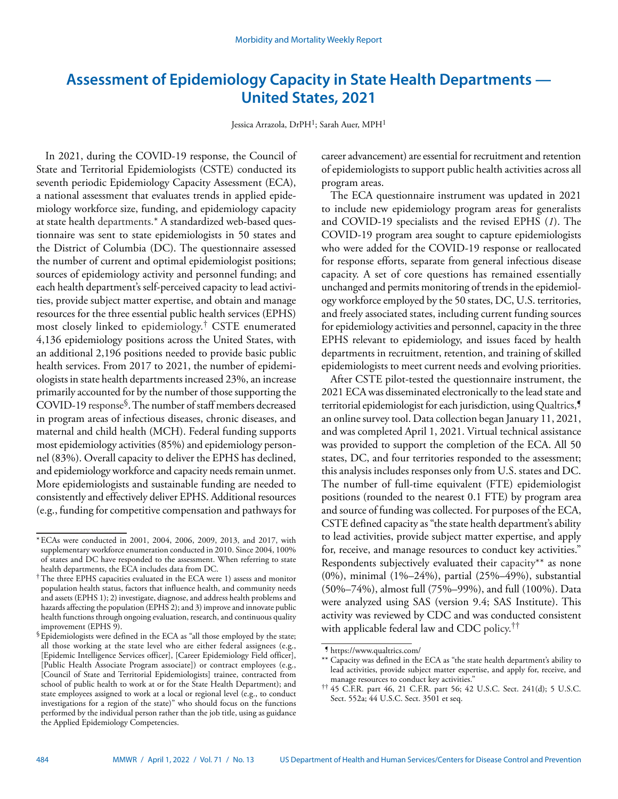# **Assessment of Epidemiology Capacity in State Health Departments — United States, 2021**

Jessica Arrazola, DrPH<sup>1</sup>; Sarah Auer, MPH<sup>1</sup>

In 2021, during the COVID-19 response, the Council of State and Territorial Epidemiologists (CSTE) conducted its seventh periodic Epidemiology Capacity Assessment (ECA), a national assessment that evaluates trends in applied epidemiology workforce size, funding, and epidemiology capacity at state health departments.\* A standardized web-based questionnaire was sent to state epidemiologists in 50 states and the District of Columbia (DC). The questionnaire assessed the number of current and optimal epidemiologist positions; sources of epidemiology activity and personnel funding; and each health department's self-perceived capacity to lead activities, provide subject matter expertise, and obtain and manage resources for the three essential public health services (EPHS) most closely linked to epidemiology.† CSTE enumerated 4,136 epidemiology positions across the United States, with an additional 2,196 positions needed to provide basic public health services. From 2017 to 2021, the number of epidemiologists in state health departments increased 23%, an increase primarily accounted for by the number of those supporting the COVID-19 response§. The number of staff members decreased in program areas of infectious diseases, chronic diseases, and maternal and child health (MCH). Federal funding supports most epidemiology activities (85%) and epidemiology personnel (83%). Overall capacity to deliver the EPHS has declined, and epidemiology workforce and capacity needs remain unmet. More epidemiologists and sustainable funding are needed to consistently and effectively deliver EPHS. Additional resources (e.g., funding for competitive compensation and pathways for

career advancement) are essential for recruitment and retention of epidemiologists to support public health activities across all program areas.

The ECA questionnaire instrument was updated in 2021 to include new epidemiology program areas for generalists and COVID-19 specialists and the revised EPHS (*1*). The COVID-19 program area sought to capture epidemiologists who were added for the COVID-19 response or reallocated for response efforts, separate from general infectious disease capacity. A set of core questions has remained essentially unchanged and permits monitoring of trends in the epidemiology workforce employed by the 50 states, DC, U.S. territories, and freely associated states, including current funding sources for epidemiology activities and personnel, capacity in the three EPHS relevant to epidemiology, and issues faced by health departments in recruitment, retention, and training of skilled epidemiologists to meet current needs and evolving priorities.

After CSTE pilot-tested the questionnaire instrument, the 2021 ECA was disseminated electronically to the lead state and territorial epidemiologist for each jurisdiction, using Qualtrics,<sup>9</sup> an online survey tool. Data collection began January 11, 2021, and was completed April 1, 2021. Virtual technical assistance was provided to support the completion of the ECA. All 50 states, DC, and four territories responded to the assessment; this analysis includes responses only from U.S. states and DC. The number of full-time equivalent (FTE) epidemiologist positions (rounded to the nearest 0.1 FTE) by program area and source of funding was collected. For purposes of the ECA, CSTE defined capacity as "the state health department's ability to lead activities, provide subject matter expertise, and apply for, receive, and manage resources to conduct key activities." Respondents subjectively evaluated their capacity\*\* as none (0%), minimal (1%–24%), partial (25%–49%), substantial (50%–74%), almost full (75%–99%), and full (100%). Data were analyzed using SAS (version 9.4; SAS Institute). This activity was reviewed by CDC and was conducted consistent with applicable federal law and CDC policy.††

<sup>\*</sup>ECAs were conducted in 2001, 2004, 2006, 2009, 2013, and 2017, with supplementary workforce enumeration conducted in 2010. Since 2004, 100% of states and DC have responded to the assessment. When referring to state health departments, the ECA includes data from DC.

<sup>†</sup>The three EPHS capacities evaluated in the ECA were 1) assess and monitor population health status, factors that influence health, and community needs and assets (EPHS 1); 2) investigate, diagnose, and address health problems and hazards affecting the population (EPHS 2); and 3) improve and innovate public health functions through ongoing evaluation, research, and continuous quality improvement (EPHS 9).

<sup>§</sup>Epidemiologists were defined in the ECA as "all those employed by the state; all those working at the state level who are either federal assignees (e.g., [Epidemic Intelligence Services officer], [Career Epidemiology Field officer], [Public Health Associate Program associate]) or contract employees (e.g., [Council of State and Territorial Epidemiologists] trainee, contracted from school of public health to work at or for the State Health Department); and state employees assigned to work at a local or regional level (e.g., to conduct investigations for a region of the state)" who should focus on the functions performed by the individual person rather than the job title, using as guidance the Applied Epidemiology Competencies.

<sup>¶</sup> <https://www.qualtrics.com/>

<sup>\*\*</sup> Capacity was defined in the ECA as "the state health department's ability to lead activities, provide subject matter expertise, and apply for, receive, and manage resources to conduct key activities."

<sup>††</sup> 45 C.F.R. part 46, 21 C.F.R. part 56; 42 U.S.C. Sect. 241(d); 5 U.S.C. Sect. 552a; 44 U.S.C. Sect. 3501 et seq.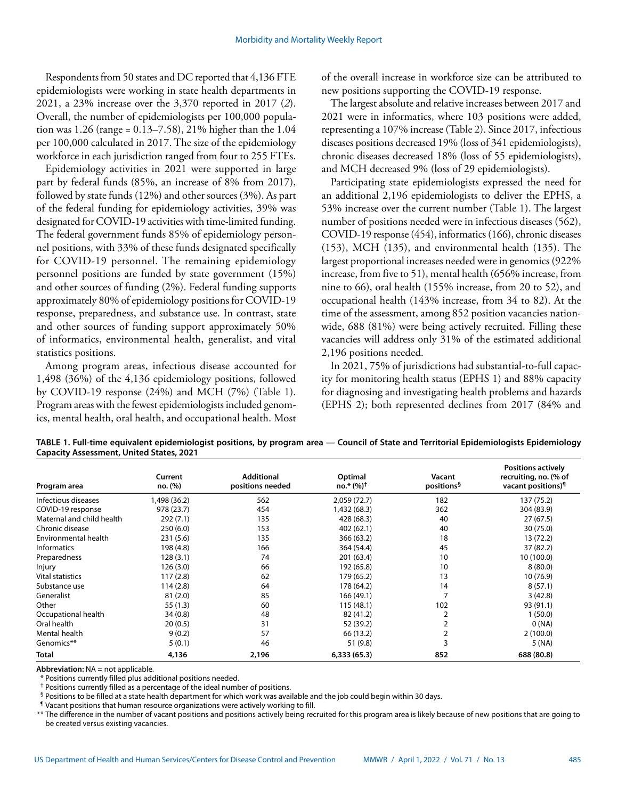Respondents from 50 states and DC reported that 4,136 FTE epidemiologists were working in state health departments in 2021, a 23% increase over the 3,370 reported in 2017 (*2*). Overall, the number of epidemiologists per 100,000 population was 1.26 (range = 0.13–7.58), 21% higher than the 1.04 per 100,000 calculated in 2017. The size of the epidemiology workforce in each jurisdiction ranged from four to 255 FTEs.

Epidemiology activities in 2021 were supported in large part by federal funds (85%, an increase of 8% from 2017), followed by state funds (12%) and other sources (3%). As part of the federal funding for epidemiology activities, 39% was designated for COVID-19 activities with time-limited funding. The federal government funds 85% of epidemiology personnel positions, with 33% of these funds designated specifically for COVID-19 personnel. The remaining epidemiology personnel positions are funded by state government (15%) and other sources of funding (2%). Federal funding supports approximately 80% of epidemiology positions for COVID-19 response, preparedness, and substance use. In contrast, state and other sources of funding support approximately 50% of informatics, environmental health, generalist, and vital statistics positions.

Among program areas, infectious disease accounted for 1,498 (36%) of the 4,136 epidemiology positions, followed by COVID-19 response (24%) and MCH (7%) (Table 1). Program areas with the fewest epidemiologists included genomics, mental health, oral health, and occupational health. Most of the overall increase in workforce size can be attributed to new positions supporting the COVID-19 response.

The largest absolute and relative increases between 2017 and 2021 were in informatics, where 103 positions were added, representing a 107% increase (Table 2). Since 2017, infectious diseases positions decreased 19% (loss of 341 epidemiologists), chronic diseases decreased 18% (loss of 55 epidemiologists), and MCH decreased 9% (loss of 29 epidemiologists).

Participating state epidemiologists expressed the need for an additional 2,196 epidemiologists to deliver the EPHS, a 53% increase over the current number (Table 1). The largest number of positions needed were in infectious diseases (562), COVID-19 response (454), informatics (166), chronic diseases (153), MCH (135), and environmental health (135). The largest proportional increases needed were in genomics (922% increase, from five to 51), mental health (656% increase, from nine to 66), oral health (155% increase, from 20 to 52), and occupational health (143% increase, from 34 to 82). At the time of the assessment, among 852 position vacancies nationwide, 688 (81%) were being actively recruited. Filling these vacancies will address only 31% of the estimated additional 2,196 positions needed.

In 2021, 75% of jurisdictions had substantial-to-full capacity for monitoring health status (EPHS 1) and 88% capacity for diagnosing and investigating health problems and hazards (EPHS 2); both represented declines from 2017 (84% and

| TABLE 1. Full-time equivalent epidemiologist positions, by program area - Council of State and Territorial Epidemiologists Epidemiology |  |
|-----------------------------------------------------------------------------------------------------------------------------------------|--|
| <b>Capacity Assessment, United States, 2021</b>                                                                                         |  |

| Program area              | Current<br>no. (%) | <b>Additional</b><br>positions needed | Optimal<br>$no.*$ (%) <sup>†</sup> | Vacant<br>positions <sup>§</sup> | <b>Positions actively</b><br>recruiting, no. (% of<br>vacant positions) <sup>1</sup> |
|---------------------------|--------------------|---------------------------------------|------------------------------------|----------------------------------|--------------------------------------------------------------------------------------|
| Infectious diseases       | 1,498 (36.2)       | 562                                   | 2,059 (72.7)                       | 182                              | 137 (75.2)                                                                           |
| COVID-19 response         | 978 (23.7)         | 454                                   | 1,432 (68.3)                       | 362                              | 304 (83.9)                                                                           |
| Maternal and child health | 292(7.1)           | 135                                   | 428 (68.3)                         | 40                               | 27(67.5)                                                                             |
| Chronic disease           | 250(6.0)           | 153                                   | 402 (62.1)                         | 40                               | 30 (75.0)                                                                            |
| Environmental health      | 231 (5.6)          | 135                                   | 366 (63.2)                         | 18                               | 13 (72.2)                                                                            |
| <b>Informatics</b>        | 198 (4.8)          | 166                                   | 364 (54.4)                         | 45                               | 37 (82.2)                                                                            |
| Preparedness              | 128 (3.1)          | 74                                    | 201 (63.4)                         | 10                               | 10 (100.0)                                                                           |
| Injury                    | 126 (3.0)          | 66                                    | 192 (65.8)                         | 10                               | 8(80.0)                                                                              |
| <b>Vital statistics</b>   | 117(2.8)           | 62                                    | 179 (65.2)                         | 13                               | 10 (76.9)                                                                            |
| Substance use             | 114 (2.8)          | 64                                    | 178 (64.2)                         | 14                               | 8(57.1)                                                                              |
| Generalist                | 81(2.0)            | 85                                    | 166 (49.1)                         | 7                                | 3(42.8)                                                                              |
| Other                     | 55(1.3)            | 60                                    | 115 (48.1)                         | 102                              | 93 (91.1)                                                                            |
| Occupational health       | 34 (0.8)           | 48                                    | 82 (41.2)                          | 2                                | (50.0)                                                                               |
| Oral health               | 20(0.5)            | 31                                    | 52 (39.2)                          | 2                                | 0(NA)                                                                                |
| Mental health             | 9(0.2)             | 57                                    | 66 (13.2)                          | 2                                | 2(100.0)                                                                             |
| Genomics**                | 5(0.1)             | 46                                    | 51 (9.8)                           | 3                                | 5 (NA)                                                                               |
| <b>Total</b>              | 4,136              | 2,196                                 | 6,333(65.3)                        | 852                              | 688 (80.8)                                                                           |

**Abbreviation:** NA = not applicable.

\* Positions currently filled plus additional positions needed.

† Positions currently filled as a percentage of the ideal number of positions.

§ Positions to be filled at a state health department for which work was available and the job could begin within 30 days.

¶ Vacant positions that human resource organizations were actively working to fill.

\*\* The difference in the number of vacant positions and positions actively being recruited for this program area is likely because of new positions that are going to be created versus existing vacancies.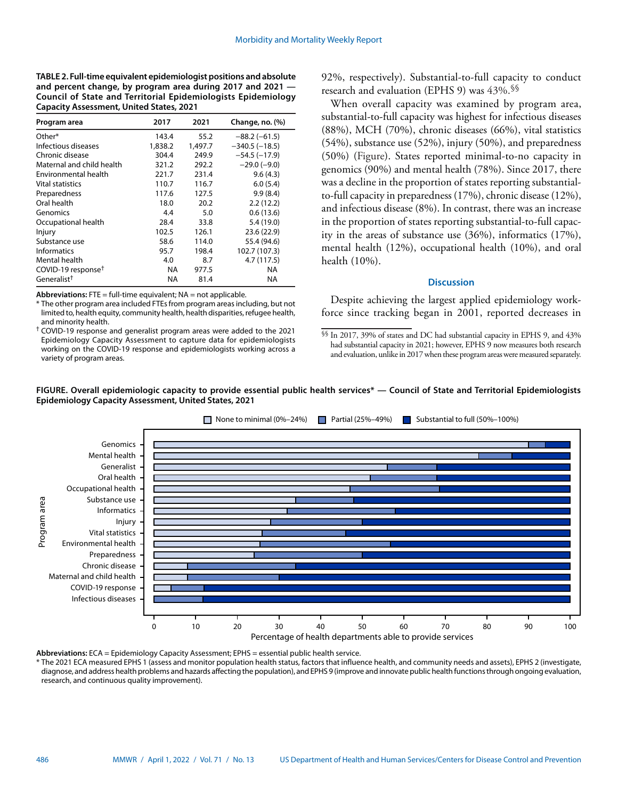**TABLE 2. Full-time equivalent epidemiologist positions and absolute and percent change, by program area during 2017 and 2021 — Council of State and Territorial Epidemiologists Epidemiology Capacity Assessment, United States, 2021**

| Program area                   | 2017      | 2021    | Change, no. (%) |
|--------------------------------|-----------|---------|-----------------|
| Other*                         | 143.4     | 55.2    | $-88.2(-61.5)$  |
| Infectious diseases            | 1,838.2   | 1,497.7 | $-340.5(-18.5)$ |
| Chronic disease                | 304.4     | 249.9   | $-54.5(-17.9)$  |
| Maternal and child health      | 321.2     | 292.2   | $-29.0(-9.0)$   |
| Environmental health           | 221.7     | 231.4   | 9.6(4.3)        |
| Vital statistics               | 110.7     | 116.7   | 6.0(5.4)        |
| Preparedness                   | 117.6     | 127.5   | 9.9(8.4)        |
| Oral health                    | 18.0      | 20.2    | 2.2(12.2)       |
| Genomics                       | 4.4       | 5.0     | 0.6(13.6)       |
| Occupational health            | 28.4      | 33.8    | 5.4(19.0)       |
| Injury                         | 102.5     | 126.1   | 23.6 (22.9)     |
| Substance use                  | 58.6      | 114.0   | 55.4 (94.6)     |
| <b>Informatics</b>             | 95.7      | 198.4   | 102.7 (107.3)   |
| Mental health                  | 4.0       | 8.7     | 4.7 (117.5)     |
| COVID-19 response <sup>†</sup> | NA.       | 977.5   | ΝA              |
| Generalist <sup>†</sup>        | <b>NA</b> | 81.4    | NA              |

**Abbreviations:** FTE = full-time equivalent; NA = not applicable.

\* The other program area included FTEs from program areas including, but not limited to, health equity, community health, health disparities, refugee health, and minority health.

† COVID-19 response and generalist program areas were added to the 2021 Epidemiology Capacity Assessment to capture data for epidemiologists working on the COVID-19 response and epidemiologists working across a variety of program areas.

92%, respectively). Substantial-to-full capacity to conduct research and evaluation (EPHS 9) was 43%.§§

When overall capacity was examined by program area, substantial-to-full capacity was highest for infectious diseases (88%), MCH (70%), chronic diseases (66%), vital statistics (54%), substance use (52%), injury (50%), and preparedness (50%) (Figure). States reported minimal-to-no capacity in genomics (90%) and mental health (78%). Since 2017, there was a decline in the proportion of states reporting substantialto-full capacity in preparedness (17%), chronic disease (12%), and infectious disease (8%). In contrast, there was an increase in the proportion of states reporting substantial-to-full capacity in the areas of substance use (36%), informatics (17%), mental health (12%), occupational health (10%), and oral health (10%).

## **Discussion**

Despite achieving the largest applied epidemiology workforce since tracking began in 2001, reported decreases in

§§ In 2017, 39% of states and DC had substantial capacity in EPHS 9, and 43% had substantial capacity in 2021; however, EPHS 9 now measures both research and evaluation, unlike in 2017 when these program areas were measured separately.





**Abbreviations:** ECA = Epidemiology Capacity Assessment; EPHS = essential public health service.

\* The 2021 ECA measured EPHS 1 (assess and monitor population health status, factors that influence health, and community needs and assets), EPHS 2 (investigate, diagnose, and address health problems and hazards affecting the population), and EPHS 9 (improve and innovate public health functions through ongoing evaluation, research, and continuous quality improvement).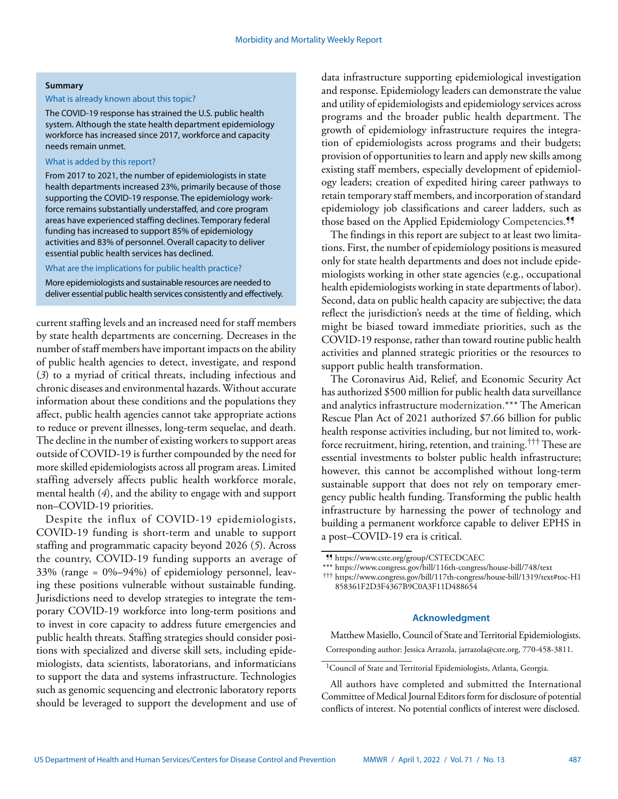## **Summary**

## What is already known about this topic?

The COVID-19 response has strained the U.S. public health system. Although the state health department epidemiology workforce has increased since 2017, workforce and capacity needs remain unmet.

## What is added by this report?

From 2017 to 2021, the number of epidemiologists in state health departments increased 23%, primarily because of those supporting the COVID-19 response. The epidemiology workforce remains substantially understaffed, and core program areas have experienced staffing declines. Temporary federal funding has increased to support 85% of epidemiology activities and 83% of personnel. Overall capacity to deliver essential public health services has declined.

## What are the implications for public health practice?

More epidemiologists and sustainable resources are needed to deliver essential public health services consistently and effectively.

current staffing levels and an increased need for staff members by state health departments are concerning. Decreases in the number of staff members have important impacts on the ability of public health agencies to detect, investigate, and respond (*3*) to a myriad of critical threats, including infectious and chronic diseases and environmental hazards. Without accurate information about these conditions and the populations they affect, public health agencies cannot take appropriate actions to reduce or prevent illnesses, long-term sequelae, and death. The decline in the number of existing workers to support areas outside of COVID-19 is further compounded by the need for more skilled epidemiologists across all program areas. Limited staffing adversely affects public health workforce morale, mental health (*4*), and the ability to engage with and support non–COVID-19 priorities.

Despite the influx of COVID-19 epidemiologists, COVID-19 funding is short-term and unable to support staffing and programmatic capacity beyond 2026 (*5*). Across the country, COVID-19 funding supports an average of 33% (range = 0%–94%) of epidemiology personnel, leaving these positions vulnerable without sustainable funding. Jurisdictions need to develop strategies to integrate the temporary COVID-19 workforce into long-term positions and to invest in core capacity to address future emergencies and public health threats. Staffing strategies should consider positions with specialized and diverse skill sets, including epidemiologists, data scientists, laboratorians, and informaticians to support the data and systems infrastructure. Technologies such as genomic sequencing and electronic laboratory reports should be leveraged to support the development and use of data infrastructure supporting epidemiological investigation and response. Epidemiology leaders can demonstrate the value and utility of epidemiologists and epidemiology services across programs and the broader public health department. The growth of epidemiology infrastructure requires the integration of epidemiologists across programs and their budgets; provision of opportunities to learn and apply new skills among existing staff members, especially development of epidemiology leaders; creation of expedited hiring career pathways to retain temporary staff members, and incorporation of standard epidemiology job classifications and career ladders, such as those based on the Applied Epidemiology Competencies.<sup>11</sup>

The findings in this report are subject to at least two limitations. First, the number of epidemiology positions is measured only for state health departments and does not include epidemiologists working in other state agencies (e.g., occupational health epidemiologists working in state departments of labor). Second, data on public health capacity are subjective; the data reflect the jurisdiction's needs at the time of fielding, which might be biased toward immediate priorities, such as the COVID-19 response, rather than toward routine public health activities and planned strategic priorities or the resources to support public health transformation.

The Coronavirus Aid, Relief, and Economic Security Act has authorized \$500 million for public health data surveillance and analytics infrastructure modernization.\*\*\* The American Rescue Plan Act of 2021 authorized \$7.66 billion for public health response activities including, but not limited to, workforce recruitment, hiring, retention, and training.††† These are essential investments to bolster public health infrastructure; however, this cannot be accomplished without long-term sustainable support that does not rely on temporary emergency public health funding. Transforming the public health infrastructure by harnessing the power of technology and building a permanent workforce capable to deliver EPHS in a post–COVID-19 era is critical.

††† https://www.congress.gov/bill/117th-congress/house-bill/1319/text#toc-H1 858361F2D3F4367B9C0A3F11D488654

## **Acknowledgment**

Matthew Masiello, Council of State and Territorial Epidemiologists. Corresponding author: Jessica Arrazola, [jarrazola@cste.org,](mailto:jarrazola@cste.org) 770-458-3811.

<sup>¶¶</sup> <https://www.cste.org/group/CSTECDCAEC>

<sup>\*\*\*</sup> <https://www.congress.gov/bill/116th-congress/house-bill/748/text>

<sup>&</sup>lt;sup>1</sup>Council of State and Territorial Epidemiologists, Atlanta, Georgia.

All authors have completed and submitted the International Committee of Medical Journal Editors form for disclosure of potential conflicts of interest. No potential conflicts of interest were disclosed.